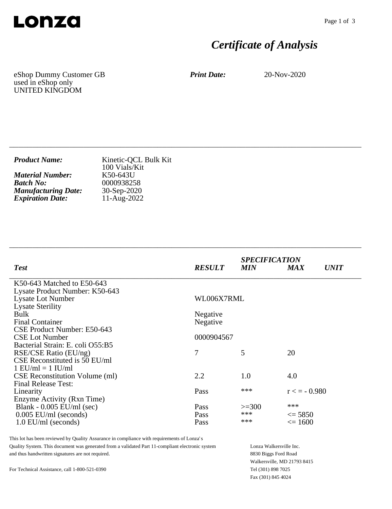

# *Certificate of Analysis*

eShop Dummy Customer GB used in eShop only UNITED KINGDOM

*Print Date:* 20-Nov-2020

| <b>Product Name:</b>       | Kinetic-QCL Bulk Kit<br>100 Vials/Kit |
|----------------------------|---------------------------------------|
| <b>Material Number:</b>    | K50-643U                              |
| <b>Batch No:</b>           | 0000938258                            |
| <b>Manufacturing Date:</b> | $30-Sep-2020$                         |
| <b>Expiration Date:</b>    | 11-Aug-2022                           |

\_\_\_\_\_\_\_\_\_\_\_\_\_\_\_\_\_\_\_\_\_\_\_\_\_\_\_\_\_\_\_\_\_\_\_\_\_\_\_\_\_\_\_\_\_\_\_\_\_\_\_\_\_\_\_\_\_\_\_\_\_\_\_\_\_\_\_\_\_\_\_\_\_\_\_\_

\_\_\_\_\_\_\_\_\_\_\_\_\_\_\_\_\_\_\_\_\_\_\_\_\_\_\_\_\_\_\_\_\_\_\_\_\_\_\_\_\_\_\_\_\_\_\_\_\_\_\_\_\_\_\_\_\_\_\_\_\_\_\_\_\_\_\_\_\_\_\_\_\_\_\_\_

| <b>RESULT</b> | <b>MIN</b> | <b>MAX</b>        | <i>UNIT</i>                 |
|---------------|------------|-------------------|-----------------------------|
|               |            |                   |                             |
|               |            |                   |                             |
| WL006X7RML    |            |                   |                             |
|               |            |                   |                             |
| Negative      |            |                   |                             |
| Negative      |            |                   |                             |
|               |            |                   |                             |
| 0000904567    |            |                   |                             |
|               |            |                   |                             |
| 7             | 5          | 20                |                             |
|               |            |                   |                             |
|               |            |                   |                             |
| 2.2           | 1.0        | 4.0               |                             |
|               |            |                   |                             |
| Pass          | ***        | $r \leq -0.980$   |                             |
|               |            |                   |                             |
| Pass          | $>=300$    |                   |                             |
| Pass          | ***        | $\leq$ 5850       |                             |
| Pass          | ***        | $\epsilon = 1600$ |                             |
|               |            |                   | <b>SPECIFICATION</b><br>*** |

This lot has been reviewed by Quality Assurance in compliance with requirements of Lonza's Quality System. This document was generated from a validated Part 11-compliant electronic system and thus handwritten signatures are not required.

Lonza Walkersville Inc. 8830 Biggs Ford Road Walkersville, MD 21793 8415 Tel (301) 898 7025 Fax (301) 845 4024

For Technical Assistance, call 1-800-521-0390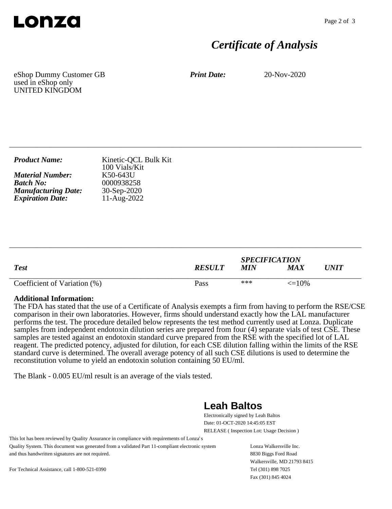

## *Certificate of Analysis*

eShop Dummy Customer GB used in eShop only UNITED KINGDOM

*Print Date:* 20-Nov-2020

| <b>Product Name:</b>       | Kinetic-QCL Bulk Kit<br>100 Vials/Kit |
|----------------------------|---------------------------------------|
| <b>Material Number:</b>    | K50-643U                              |
| <b>Batch No:</b>           | 0000938258                            |
| <b>Manufacturing Date:</b> | $30-Sep-2020$                         |
| <b>Expiration Date:</b>    | $11-Aug-2022$                         |

\_\_\_\_\_\_\_\_\_\_\_\_\_\_\_\_\_\_\_\_\_\_\_\_\_\_\_\_\_\_\_\_\_\_\_\_\_\_\_\_\_\_\_\_\_\_\_\_\_\_\_\_\_\_\_\_\_\_\_\_\_\_\_\_\_\_\_\_\_\_\_\_\_\_\_\_

| <b>Test</b>                  | <b>RESULT</b> | <b>SPECIFICATION</b><br><b>MIN</b> | MA X              | UNIT |
|------------------------------|---------------|------------------------------------|-------------------|------|
| Coefficient of Variation (%) | Pass          | ***                                | $\epsilon = 10\%$ |      |

\_\_\_\_\_\_\_\_\_\_\_\_\_\_\_\_\_\_\_\_\_\_\_\_\_\_\_\_\_\_\_\_\_\_\_\_\_\_\_\_\_\_\_\_\_\_\_\_\_\_\_\_\_\_\_\_\_\_\_\_\_\_\_\_\_\_\_\_\_\_\_\_\_\_\_\_

#### **Additional Information:**

The FDA has stated that the use of a Certificate of Analysis exempts a firm from having to perform the RSE/CSE comparison in their own laboratories. However, firms should understand exactly how the LAL manufacturer performs the test. The procedure detailed below represents the test method currently used at Lonza. Duplicate samples from independent endotoxin dilution series are prepared from four (4) separate vials of test CSE. These samples are tested against an endotoxin standard curve prepared from the RSE with the specified lot of LAL reagent. The predicted potency, adjusted for dilution, for each CSE dilution falling within the limits of the RSE standard curve is determined. The overall average potency of all such CSE dilutions is used to determine the reconstitution volume to yield an endotoxin solution containing 50 EU/ml.

The Blank - 0.005 EU/ml result is an average of the vials tested.

### **Leah Baltos**

Electronically signed by Leah Baltos Date: 01-OCT-2020 14:45:05 EST RELEASE ( Inspection Lot: Usage Decision )

This lot has been reviewed by Quality Assurance in compliance with requirements of Lonza's Quality System. This document was generated from a validated Part 11-compliant electronic system and thus handwritten signatures are not required.

Lonza Walkersville Inc. 8830 Biggs Ford Road Walkersville, MD 21793 8415 Tel (301) 898 7025 Fax (301) 845 4024

For Technical Assistance, call 1-800-521-0390